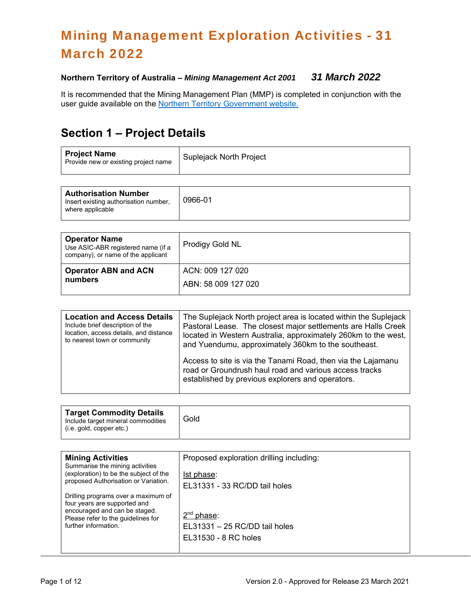# Mining Management Exploration Activities - 31 March 2022

#### **Northern Territory of Australia –** *Mining Management Act 2001 31 March 2022*

It is recommended that the Mining Management Plan (MMP) is completed in conjunction with the user guide available on the Northern Territory Government website.

# **Section 1 – Project Details**

| <b>Project Name</b><br>Provide new or existing project name | <b>Suplejack North Project</b> |
|-------------------------------------------------------------|--------------------------------|
|                                                             |                                |

| <b>Authorisation Number</b><br>Insert existing authorisation number,<br>where applicable | 0966-01 |
|------------------------------------------------------------------------------------------|---------|
|                                                                                          |         |

| <b>Operator Name</b><br>Use ASIC-ABR registered name (if a<br>company), or name of the applicant | Prodigy Gold NL                         |
|--------------------------------------------------------------------------------------------------|-----------------------------------------|
| <b>Operator ABN and ACN</b><br>numbers                                                           | ACN: 009 127 020<br>ABN: 58 009 127 020 |
|                                                                                                  |                                         |

| <b>Location and Access Details</b>     | The Suplejack North project area is located within the Suplejack                                                                                                           |  |
|----------------------------------------|----------------------------------------------------------------------------------------------------------------------------------------------------------------------------|--|
| Include brief description of the       | Pastoral Lease. The closest major settlements are Halls Creek                                                                                                              |  |
| location, access details, and distance | located in Western Australia, approximately 260km to the west,                                                                                                             |  |
| to nearest town or community           | and Yuendumu, approximately 360km to the southeast.                                                                                                                        |  |
|                                        | Access to site is via the Tanami Road, then via the Lajamanu<br>road or Groundrush haul road and various access tracks<br>established by previous explorers and operators. |  |

| <b>Target Commodity Details</b><br>Include target mineral commodities<br>(i.e. gold, copper etc.) | Gold |
|---------------------------------------------------------------------------------------------------|------|
|                                                                                                   |      |

| <b>Mining Activities</b><br>Summarise the mining activities                                                                                                        | Proposed exploration drilling including:                              |
|--------------------------------------------------------------------------------------------------------------------------------------------------------------------|-----------------------------------------------------------------------|
| (exploration) to be the subject of the<br>proposed Authorisation or Variation.                                                                                     | Ist phase:                                                            |
|                                                                                                                                                                    | EL31331 - 33 RC/DD tail holes                                         |
| Drilling programs over a maximum of<br>four years are supported and<br>encouraged and can be staged.<br>Please refer to the quidelines for<br>further information. | $2nd$ phase:<br>EL31331 - 25 RC/DD tail holes<br>EL31530 - 8 RC holes |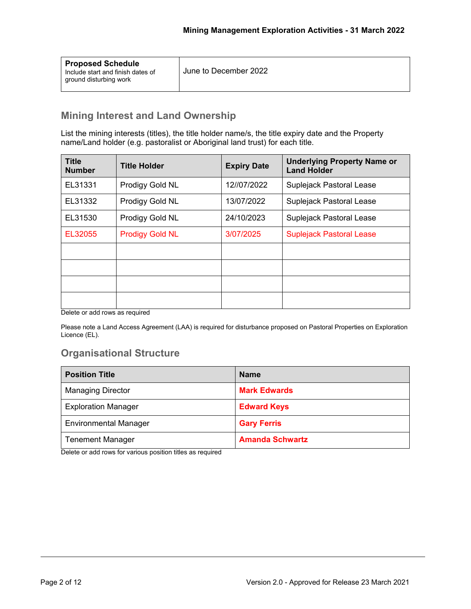| <b>Proposed Schedule</b><br>Include start and finish dates of<br>ground disturbing work | June to December 2022 |
|-----------------------------------------------------------------------------------------|-----------------------|
|                                                                                         |                       |

### **Mining Interest and Land Ownership**

List the mining interests (titles), the title holder name/s, the title expiry date and the Property name/Land holder (e.g. pastoralist or Aboriginal land trust) for each title.

| <b>Title</b><br><b>Number</b> | <b>Title Holder</b>    | <b>Expiry Date</b> | <b>Underlying Property Name or</b><br><b>Land Holder</b> |
|-------------------------------|------------------------|--------------------|----------------------------------------------------------|
| EL31331                       | Prodigy Gold NL        | 12//07/2022        | Suplejack Pastoral Lease                                 |
| EL31332                       | Prodigy Gold NL        | 13/07/2022         | Suplejack Pastoral Lease                                 |
| EL31530                       | Prodigy Gold NL        | 24/10/2023         | Suplejack Pastoral Lease                                 |
| EL32055                       | <b>Prodigy Gold NL</b> | 3/07/2025          | <b>Suplejack Pastoral Lease</b>                          |
|                               |                        |                    |                                                          |
|                               |                        |                    |                                                          |
|                               |                        |                    |                                                          |
|                               |                        |                    |                                                          |

Delete or add rows as required

Please note a Land Access Agreement (LAA) is required for disturbance proposed on Pastoral Properties on Exploration Licence (EL).

### **Organisational Structure**

| <b>Position Title</b>        | <b>Name</b>            |
|------------------------------|------------------------|
| <b>Managing Director</b>     | <b>Mark Edwards</b>    |
| <b>Exploration Manager</b>   | <b>Edward Keys</b>     |
| <b>Environmental Manager</b> | <b>Gary Ferris</b>     |
| <b>Tenement Manager</b>      | <b>Amanda Schwartz</b> |

Delete or add rows for various position titles as required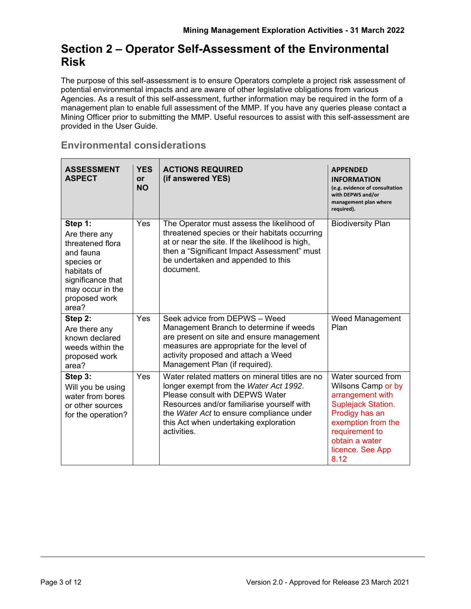### **Section 2 – Operator Self-Assessment of the Environmental Risk**

The purpose of this self-assessment is to ensure Operators complete a project risk assessment of potential environmental impacts and are aware of other legislative obligations from various Agencies. As a result of this self-assessment, further information may be required in the form of a management plan to enable full assessment of the MMP. If you have any queries please contact a Mining Officer prior to submitting the MMP. Useful resources to assist with this self-assessment are provided in the User Guide.

#### **Environmental considerations**

| <b>ASSESSMENT</b><br><b>ASPECT</b>                                                                                                                        | <b>YES</b><br><b>or</b><br><b>NO</b> | <b>ACTIONS REQUIRED</b><br>(if answered YES)                                                                                                                                                                                                                                  | <b>APPENDED</b><br><b>INFORMATION</b><br>(e.g. evidence of consultation<br>with DEPWS and/or<br>management plan where<br>required).                                                        |
|-----------------------------------------------------------------------------------------------------------------------------------------------------------|--------------------------------------|-------------------------------------------------------------------------------------------------------------------------------------------------------------------------------------------------------------------------------------------------------------------------------|--------------------------------------------------------------------------------------------------------------------------------------------------------------------------------------------|
| Step 1:<br>Are there any<br>threatened flora<br>and fauna<br>species or<br>habitats of<br>significance that<br>may occur in the<br>proposed work<br>area? | Yes                                  | The Operator must assess the likelihood of<br>threatened species or their habitats occurring<br>at or near the site. If the likelihood is high,<br>then a "Significant Impact Assessment" must<br>be undertaken and appended to this<br>document.                             | <b>Biodiversity Plan</b>                                                                                                                                                                   |
| Step 2:<br>Are there any<br>known declared<br>weeds within the<br>proposed work<br>area?                                                                  | Yes                                  | Seek advice from DEPWS - Weed<br>Management Branch to determine if weeds<br>are present on site and ensure management<br>measures are appropriate for the level of<br>activity proposed and attach a Weed<br>Management Plan (if required).                                   | Weed Management<br>Plan                                                                                                                                                                    |
| Step 3:<br>Will you be using<br>water from bores<br>or other sources<br>for the operation?                                                                | Yes                                  | Water related matters on mineral titles are no<br>longer exempt from the Water Act 1992.<br>Please consult with DEPWS Water<br>Resources and/or familiarise yourself with<br>the Water Act to ensure compliance under<br>this Act when undertaking exploration<br>activities. | Water sourced from<br>Wilsons Camp or by<br>arrangement with<br>Suplejack Station.<br>Prodigy has an<br>exemption from the<br>requirement to<br>obtain a water<br>licence. See App<br>8.12 |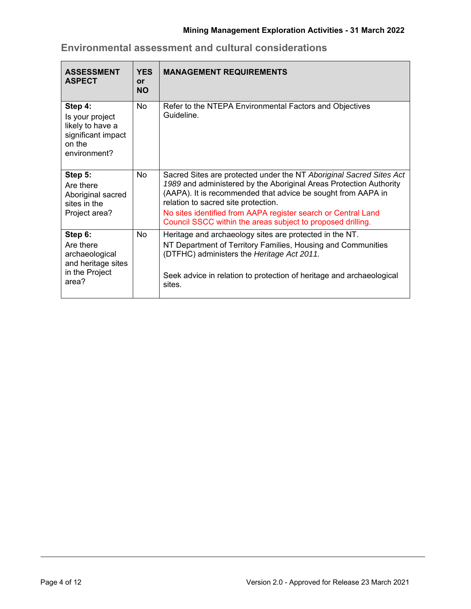| <b>ASSESSMENT</b><br><b>ASPECT</b>                                                             | <b>YES</b><br><b>or</b><br><b>NO</b> | <b>MANAGEMENT REQUIREMENTS</b>                                                                                                                                                                                                                                                                                                                                                   |
|------------------------------------------------------------------------------------------------|--------------------------------------|----------------------------------------------------------------------------------------------------------------------------------------------------------------------------------------------------------------------------------------------------------------------------------------------------------------------------------------------------------------------------------|
| Step 4:<br>Is your project<br>likely to have a<br>significant impact<br>on the<br>environment? | <b>No</b>                            | Refer to the NTEPA Environmental Factors and Objectives<br>Guideline.                                                                                                                                                                                                                                                                                                            |
| Step 5:<br>Are there<br>Aboriginal sacred<br>sites in the<br>Project area?                     | <b>No</b>                            | Sacred Sites are protected under the NT Aboriginal Sacred Sites Act<br>1989 and administered by the Aboriginal Areas Protection Authority<br>(AAPA). It is recommended that advice be sought from AAPA in<br>relation to sacred site protection.<br>No sites identified from AAPA register search or Central Land<br>Council SSCC within the areas subject to proposed drilling. |
| Step 6:<br>Are there<br>archaeological<br>and heritage sites<br>in the Project<br>area?        | <b>No</b>                            | Heritage and archaeology sites are protected in the NT.<br>NT Department of Territory Families, Housing and Communities<br>(DTFHC) administers the Heritage Act 2011.<br>Seek advice in relation to protection of heritage and archaeological<br>sites.                                                                                                                          |

**Environmental assessment and cultural considerations**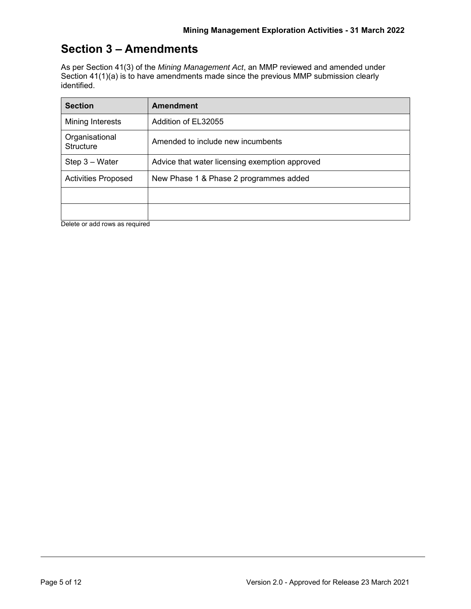### **Section 3 – Amendments**

As per Section 41(3) of the *Mining Management Act*, an MMP reviewed and amended under Section 41(1)(a) is to have amendments made since the previous MMP submission clearly identified.

| <b>Section</b>                     | <b>Amendment</b>                               |
|------------------------------------|------------------------------------------------|
| Mining Interests                   | Addition of EL32055                            |
| Organisational<br><b>Structure</b> | Amended to include new incumbents              |
| Step 3 - Water                     | Advice that water licensing exemption approved |
| <b>Activities Proposed</b>         | New Phase 1 & Phase 2 programmes added         |
|                                    |                                                |
|                                    |                                                |

Delete or add rows as required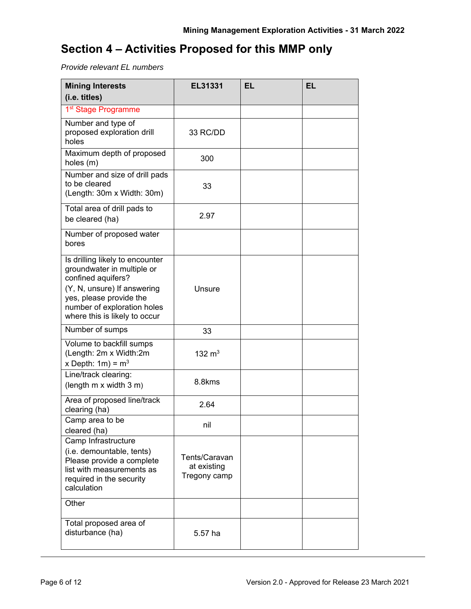# **Section 4 – Activities Proposed for this MMP only**

*Provide relevant EL numbers* 

| <b>Mining Interests</b>                                                                                                                                                                                       | <b>EL31331</b>                               | EL | <b>EL</b> |
|---------------------------------------------------------------------------------------------------------------------------------------------------------------------------------------------------------------|----------------------------------------------|----|-----------|
| (i.e. titles)                                                                                                                                                                                                 |                                              |    |           |
| 1 <sup>st</sup> Stage Programme                                                                                                                                                                               |                                              |    |           |
| Number and type of<br>proposed exploration drill<br>holes                                                                                                                                                     | 33 RC/DD                                     |    |           |
| Maximum depth of proposed<br>holes (m)                                                                                                                                                                        | 300                                          |    |           |
| Number and size of drill pads<br>to be cleared<br>(Length: 30m x Width: 30m)                                                                                                                                  | 33                                           |    |           |
| Total area of drill pads to<br>be cleared (ha)                                                                                                                                                                | 2.97                                         |    |           |
| Number of proposed water<br>bores                                                                                                                                                                             |                                              |    |           |
| Is drilling likely to encounter<br>groundwater in multiple or<br>confined aquifers?<br>(Y, N, unsure) If answering<br>yes, please provide the<br>number of exploration holes<br>where this is likely to occur | Unsure                                       |    |           |
| Number of sumps                                                                                                                                                                                               | 33                                           |    |           |
| Volume to backfill sumps<br>(Length: 2m x Width:2m<br>x Depth: $1m$ ) = $m3$                                                                                                                                  | 132 $m3$                                     |    |           |
| Line/track clearing:<br>(length m x width 3 m)                                                                                                                                                                | 8.8kms                                       |    |           |
| Area of proposed line/track<br>clearing (ha)                                                                                                                                                                  | 2.64                                         |    |           |
| Camp area to be<br>cleared (ha)                                                                                                                                                                               | nil                                          |    |           |
| Camp Infrastructure<br>(i.e. demountable, tents)<br>Please provide a complete<br>list with measurements as<br>required in the security<br>calculation                                                         | Tents/Caravan<br>at existing<br>Tregony camp |    |           |
| Other                                                                                                                                                                                                         |                                              |    |           |
| Total proposed area of<br>disturbance (ha)                                                                                                                                                                    | 5.57 ha                                      |    |           |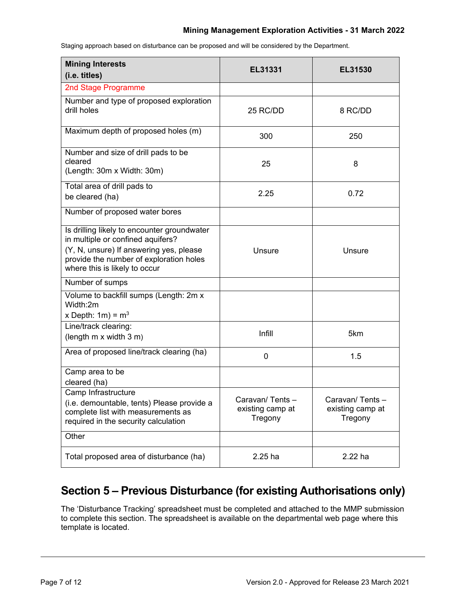#### **Mining Management Exploration Activities - 31 March 2022**

**Mining Interests (i.e. titles) EL31331 EL31530** 2nd Stage Programme Number and type of proposed exploration drill holes and the set of the set of the set of the set of the set of the set of the set of the set of the set of the set of the set of the set of the set of the set of the set of the set of the set of the set of the set Maximum depth of proposed holes (m) 300 250 Number and size of drill pads to be cleared (Length: 30m x Width: 30m) 25 8 Total area of drill pads to be cleared (ha) 2.25 0.72 Number of proposed water bores Is drilling likely to encounter groundwater in multiple or confined aquifers? (Y, N, unsure) If answering yes, please provide the number of exploration holes where this is likely to occur Unsure I Unsure Number of sumps Volume to backfill sumps (Length: 2m x Width:2m x Depth:  $1m$ ) =  $m<sup>3</sup>$ Line/track clearing:  $(\text{length m x width } 3 \text{ m})$   $\left| \begin{array}{ccc} \text{limit} & \text{limit} & \text{5km} \end{array} \right|$ Area of proposed line/track clearing (ha) 0 1.5 Camp area to be cleared (ha) Camp Infrastructure (i.e. demountable, tents) Please provide a complete list with measurements as required in the security calculation Caravan/ Tents – existing camp at Tregony Caravan/ Tents – existing camp at Tregony **Other** Total proposed area of disturbance (ha) 2.25 ha 2.22 ha

Staging approach based on disturbance can be proposed and will be considered by the Department.

# **Section 5 – Previous Disturbance (for existing Authorisations only)**

The 'Disturbance Tracking' spreadsheet must be completed and attached to the MMP submission to complete this section. The spreadsheet is available on the departmental web page where this template is located.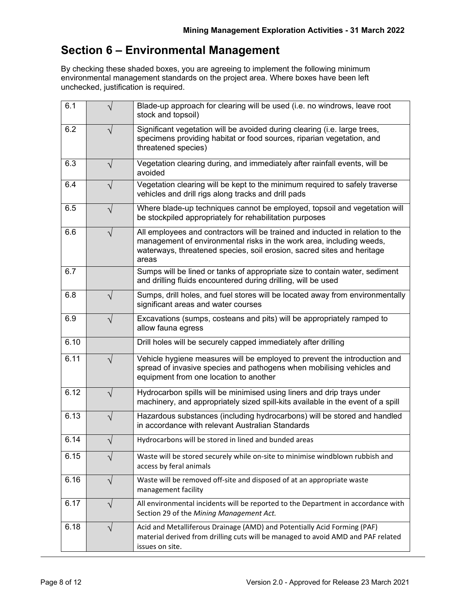# **Section 6 – Environmental Management**

By checking these shaded boxes, you are agreeing to implement the following minimum environmental management standards on the project area. Where boxes have been left unchecked, justification is required.

| 6.1  |            | Blade-up approach for clearing will be used (i.e. no windrows, leave root<br>stock and topsoil)                                                                                                                                          |  |
|------|------------|------------------------------------------------------------------------------------------------------------------------------------------------------------------------------------------------------------------------------------------|--|
| 6.2  |            | Significant vegetation will be avoided during clearing (i.e. large trees,<br>specimens providing habitat or food sources, riparian vegetation, and<br>threatened species)                                                                |  |
| 6.3  | N          | Vegetation clearing during, and immediately after rainfall events, will be<br>avoided                                                                                                                                                    |  |
| 6.4  | $\sqrt{}$  | Vegetation clearing will be kept to the minimum required to safely traverse<br>vehicles and drill rigs along tracks and drill pads                                                                                                       |  |
| 6.5  | $\sqrt{ }$ | Where blade-up techniques cannot be employed, topsoil and vegetation will<br>be stockpiled appropriately for rehabilitation purposes                                                                                                     |  |
| 6.6  | $\sqrt{}$  | All employees and contractors will be trained and inducted in relation to the<br>management of environmental risks in the work area, including weeds,<br>waterways, threatened species, soil erosion, sacred sites and heritage<br>areas |  |
| 6.7  |            | Sumps will be lined or tanks of appropriate size to contain water, sediment<br>and drilling fluids encountered during drilling, will be used                                                                                             |  |
| 6.8  | V          | Sumps, drill holes, and fuel stores will be located away from environmentally<br>significant areas and water courses                                                                                                                     |  |
| 6.9  | V          | Excavations (sumps, costeans and pits) will be appropriately ramped to<br>allow fauna egress                                                                                                                                             |  |
| 6.10 |            | Drill holes will be securely capped immediately after drilling                                                                                                                                                                           |  |
| 6.11 | ٦          | Vehicle hygiene measures will be employed to prevent the introduction and<br>spread of invasive species and pathogens when mobilising vehicles and<br>equipment from one location to another                                             |  |
| 6.12 | $\sqrt{}$  | Hydrocarbon spills will be minimised using liners and drip trays under<br>machinery, and appropriately sized spill-kits available in the event of a spill                                                                                |  |
| 6.13 | $\sqrt{ }$ | Hazardous substances (including hydrocarbons) will be stored and handled<br>in accordance with relevant Australian Standards                                                                                                             |  |
| 6.14 | V          | Hydrocarbons will be stored in lined and bunded areas                                                                                                                                                                                    |  |
| 6.15 | ٦          | Waste will be stored securely while on-site to minimise windblown rubbish and<br>access by feral animals                                                                                                                                 |  |
| 6.16 | ٦          | Waste will be removed off-site and disposed of at an appropriate waste<br>management facility                                                                                                                                            |  |
| 6.17 | $\sqrt{}$  | All environmental incidents will be reported to the Department in accordance with<br>Section 29 of the Mining Management Act.                                                                                                            |  |
| 6.18 | V          | Acid and Metalliferous Drainage (AMD) and Potentially Acid Forming (PAF)<br>material derived from drilling cuts will be managed to avoid AMD and PAF related<br>issues on site.                                                          |  |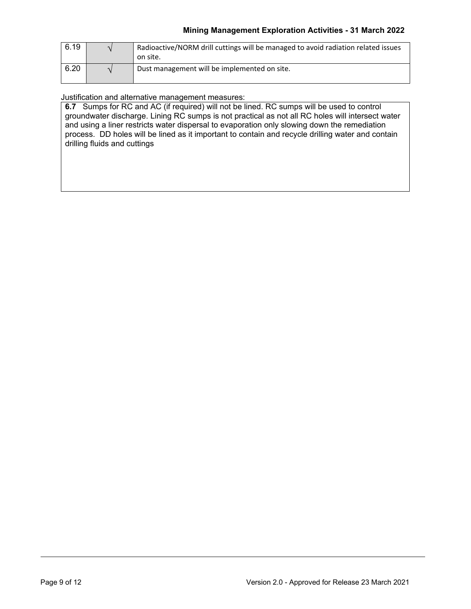| 6.19 | Radioactive/NORM drill cuttings will be managed to avoid radiation related issues<br>on site. |
|------|-----------------------------------------------------------------------------------------------|
| 6.20 | Dust management will be implemented on site.                                                  |

Justification and alternative management measures:

**6.7** Sumps for RC and AC (if required) will not be lined. RC sumps will be used to control groundwater discharge. Lining RC sumps is not practical as not all RC holes will intersect water and using a liner restricts water dispersal to evaporation only slowing down the remediation process. DD holes will be lined as it important to contain and recycle drilling water and contain drilling fluids and cuttings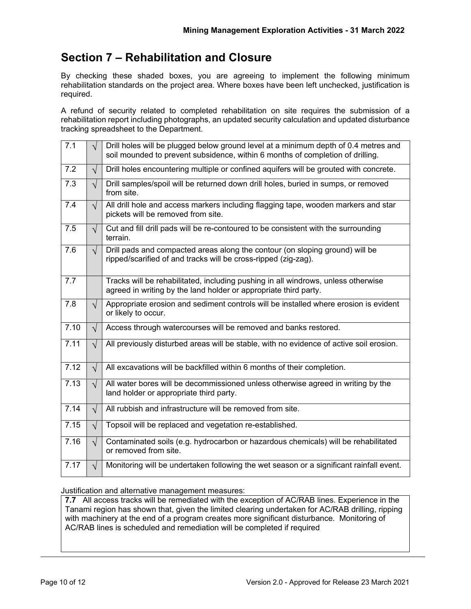# **Section 7 – Rehabilitation and Closure**

By checking these shaded boxes, you are agreeing to implement the following minimum rehabilitation standards on the project area. Where boxes have been left unchecked, justification is required.

A refund of security related to completed rehabilitation on site requires the submission of a rehabilitation report including photographs, an updated security calculation and updated disturbance tracking spreadsheet to the Department.

| 7.1  | $\sqrt{ }$ | Drill holes will be plugged below ground level at a minimum depth of 0.4 metres and<br>soil mounded to prevent subsidence, within 6 months of completion of drilling. |  |  |
|------|------------|-----------------------------------------------------------------------------------------------------------------------------------------------------------------------|--|--|
| 7.2  | $\sqrt{}$  | Drill holes encountering multiple or confined aquifers will be grouted with concrete.                                                                                 |  |  |
| 7.3  | $\sqrt{2}$ | Drill samples/spoil will be returned down drill holes, buried in sumps, or removed<br>from site.                                                                      |  |  |
| 7.4  | $\sqrt{2}$ | All drill hole and access markers including flagging tape, wooden markers and star<br>pickets will be removed from site.                                              |  |  |
| 7.5  | $\sqrt{2}$ | Cut and fill drill pads will be re-contoured to be consistent with the surrounding<br>terrain.                                                                        |  |  |
| 7.6  | $\sqrt{ }$ | Drill pads and compacted areas along the contour (on sloping ground) will be<br>ripped/scarified of and tracks will be cross-ripped (zig-zag).                        |  |  |
| 7.7  |            | Tracks will be rehabilitated, including pushing in all windrows, unless otherwise<br>agreed in writing by the land holder or appropriate third party.                 |  |  |
| 7.8  | $\sqrt{ }$ | Appropriate erosion and sediment controls will be installed where erosion is evident<br>or likely to occur.                                                           |  |  |
| 7.10 | $\sqrt{ }$ | Access through watercourses will be removed and banks restored.                                                                                                       |  |  |
| 7.11 | $\sqrt{}$  | All previously disturbed areas will be stable, with no evidence of active soil erosion.                                                                               |  |  |
| 7.12 | $\sqrt{}$  | All excavations will be backfilled within 6 months of their completion.                                                                                               |  |  |
| 7.13 | $\sqrt{ }$ | All water bores will be decommissioned unless otherwise agreed in writing by the<br>land holder or appropriate third party.                                           |  |  |
| 7.14 | $\sqrt{ }$ | All rubbish and infrastructure will be removed from site.                                                                                                             |  |  |
| 7.15 | $\sqrt{}$  | Topsoil will be replaced and vegetation re-established.                                                                                                               |  |  |
| 7.16 | $\sqrt{ }$ | Contaminated soils (e.g. hydrocarbon or hazardous chemicals) will be rehabilitated<br>or removed from site.                                                           |  |  |
| 7.17 | $\sqrt{}$  | Monitoring will be undertaken following the wet season or a significant rainfall event.                                                                               |  |  |

Justification and alternative management measures:

**7.7** All access tracks will be remediated with the exception of AC/RAB lines. Experience in the Tanami region has shown that, given the limited clearing undertaken for AC/RAB drilling, ripping with machinery at the end of a program creates more significant disturbance. Monitoring of AC/RAB lines is scheduled and remediation will be completed if required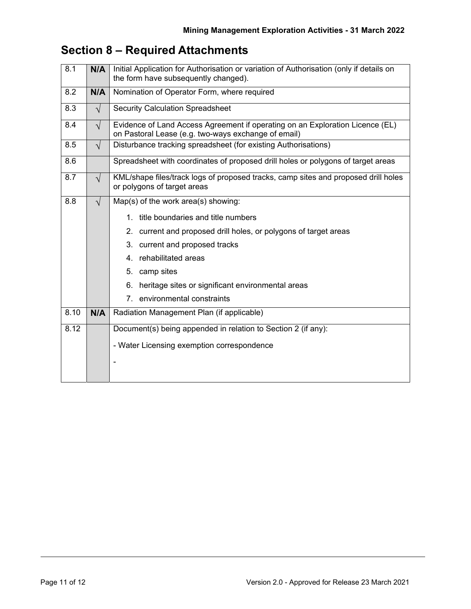# **Section 8 – Required Attachments**

| 8.1  | N/A       | Initial Application for Authorisation or variation of Authorisation (only if details on<br>the form have subsequently changed).      |  |  |
|------|-----------|--------------------------------------------------------------------------------------------------------------------------------------|--|--|
| 8.2  | N/A       | Nomination of Operator Form, where required                                                                                          |  |  |
| 8.3  | $\sqrt{}$ | <b>Security Calculation Spreadsheet</b>                                                                                              |  |  |
| 8.4  | $\sqrt{}$ | Evidence of Land Access Agreement if operating on an Exploration Licence (EL)<br>on Pastoral Lease (e.g. two-ways exchange of email) |  |  |
| 8.5  | $\sqrt{}$ | Disturbance tracking spreadsheet (for existing Authorisations)                                                                       |  |  |
| 8.6  |           | Spreadsheet with coordinates of proposed drill holes or polygons of target areas                                                     |  |  |
| 8.7  | $\sqrt{}$ | KML/shape files/track logs of proposed tracks, camp sites and proposed drill holes<br>or polygons of target areas                    |  |  |
| 8.8  | $\sqrt{}$ | Map(s) of the work area(s) showing:                                                                                                  |  |  |
|      |           | title boundaries and title numbers<br>1                                                                                              |  |  |
|      |           | current and proposed drill holes, or polygons of target areas<br>2.                                                                  |  |  |
|      |           | 3. current and proposed tracks                                                                                                       |  |  |
|      |           | 4. rehabilitated areas                                                                                                               |  |  |
|      |           | 5. camp sites                                                                                                                        |  |  |
|      |           | heritage sites or significant environmental areas<br>6.                                                                              |  |  |
|      |           | environmental constraints<br>$7_{\scriptscriptstyle{\sim}}$                                                                          |  |  |
| 8.10 | N/A       | Radiation Management Plan (if applicable)                                                                                            |  |  |
| 8.12 |           | Document(s) being appended in relation to Section 2 (if any):                                                                        |  |  |
|      |           | - Water Licensing exemption correspondence                                                                                           |  |  |
|      |           |                                                                                                                                      |  |  |
|      |           |                                                                                                                                      |  |  |